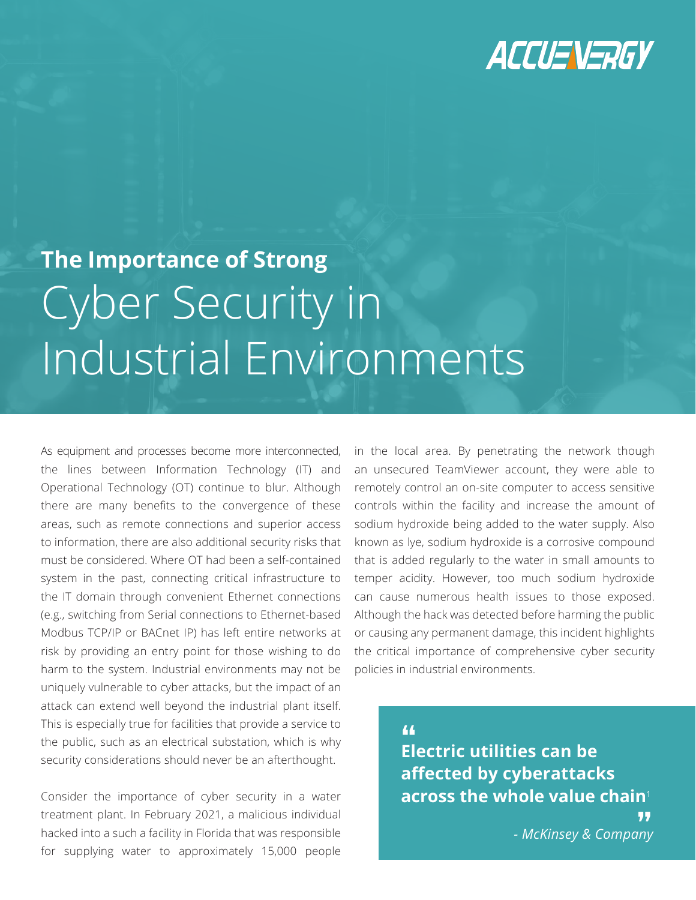

# **The Importance of Strong** Cyber Security in Industrial Environments

As equipment and processes become more interconnected, the lines between Information Technology (IT) and Operational Technology (OT) continue to blur. Although there are many benefits to the convergence of these areas, such as remote connections and superior access to information, there are also additional security risks that must be considered. Where OT had been a self-contained system in the past, connecting critical infrastructure to the IT domain through convenient Ethernet connections (e.g., switching from Serial connections to Ethernet-based Modbus TCP/IP or BACnet IP) has left entire networks at risk by providing an entry point for those wishing to do harm to the system. Industrial environments may not be uniquely vulnerable to cyber attacks, but the impact of an attack can extend well beyond the industrial plant itself. This is especially true for facilities that provide a service to the public, such as an electrical substation, which is why security considerations should never be an afterthought.

Consider the importance of cyber security in a water treatment plant. In February 2021, a malicious individual hacked into a such a facility in Florida that was responsible for supplying water to approximately 15,000 people

in the local area. By penetrating the network though an unsecured TeamViewer account, they were able to remotely control an on-site computer to access sensitive controls within the facility and increase the amount of sodium hydroxide being added to the water supply. Also known as lye, sodium hydroxide is a corrosive compound that is added regularly to the water in small amounts to temper acidity. However, too much sodium hydroxide can cause numerous health issues to those exposed. Although the hack was detected before harming the public or causing any permanent damage, this incident highlights the critical importance of comprehensive cyber security policies in industrial environments.

> $\overline{1}$ **Electric utilities can be affected by cyberattacks across the whole value chain**<sup>1</sup>

> > 1 *- McKinsey & Company*

77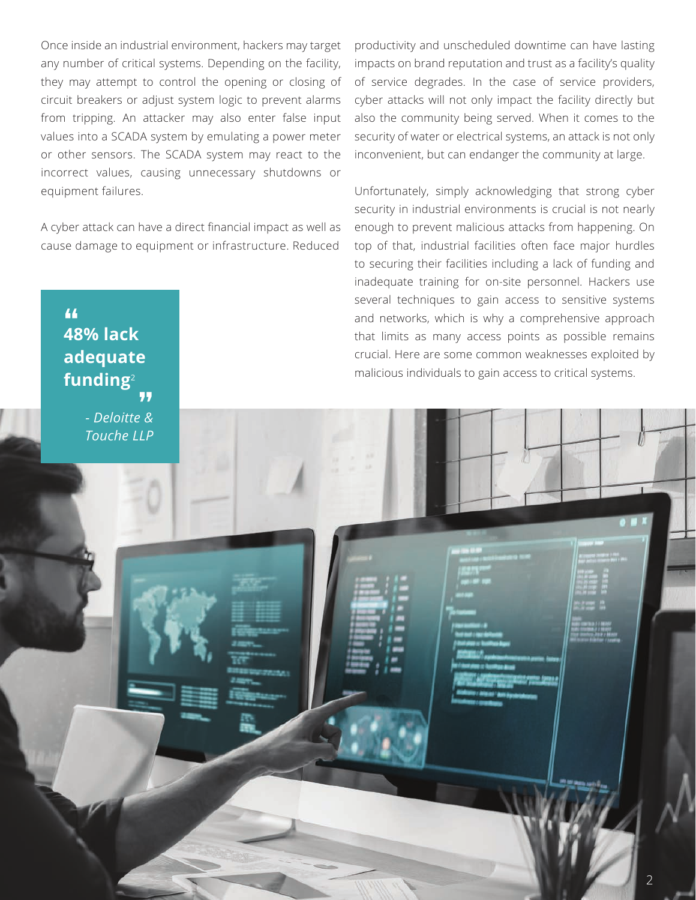Once inside an industrial environment, hackers may target any number of critical systems. Depending on the facility, they may attempt to control the opening or closing of circuit breakers or adjust system logic to prevent alarms from tripping. An attacker may also enter false input values into a SCADA system by emulating a power meter or other sensors. The SCADA system may react to the incorrect values, causing unnecessary shutdowns or equipment failures.

A cyber attack can have a direct financial impact as well as cause damage to equipment or infrastructure. Reduced

productivity and unscheduled downtime can have lasting impacts on brand reputation and trust as a facility's quality of service degrades. In the case of service providers, cyber attacks will not only impact the facility directly but also the community being served. When it comes to the security of water or electrical systems, an attack is not only inconvenient, but can endanger the community at large.

Unfortunately, simply acknowledging that strong cyber security in industrial environments is crucial is not nearly enough to prevent malicious attacks from happening. On top of that, industrial facilities often face major hurdles to securing their facilities including a lack of funding and inadequate training for on-site personnel. Hackers use several techniques to gain access to sensitive systems and networks, which is why a comprehensive approach that limits as many access points as possible remains crucial. Here are some common weaknesses exploited by malicious individuals to gain access to critical systems.

*- Deloitte & Touche LLP*

**48% lack** 

 $\overline{44}$ 

**adequate funding**<sup>2</sup>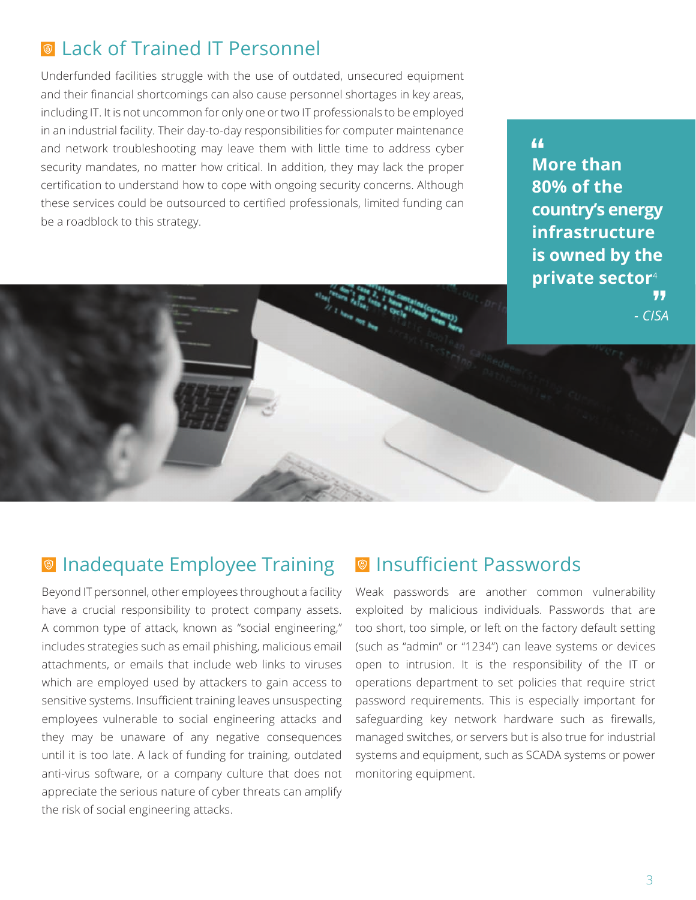### Lack of Trained IT Personnel

Underfunded facilities struggle with the use of outdated, unsecured equipment and their financial shortcomings can also cause personnel shortages in key areas, including IT. It is not uncommon for only one or two IT professionals to be employed in an industrial facility. Their day-to-day responsibilities for computer maintenance and network troubleshooting may leave them with little time to address cyber security mandates, no matter how critical. In addition, they may lack the proper certification to understand how to cope with ongoing security concerns. Although these services could be outsourced to certified professionals, limited funding can be a roadblock to this strategy.

44 **More than 80% of the country's energy infrastructure is owned by the private sector**<sup>4</sup> *- CISA*

### **O** Inadequate Employee Training

Beyond IT personnel, other employees throughout a facility have a crucial responsibility to protect company assets. A common type of attack, known as "social engineering," includes strategies such as email phishing, malicious email attachments, or emails that include web links to viruses which are employed used by attackers to gain access to sensitive systems. Insufficient training leaves unsuspecting employees vulnerable to social engineering attacks and they may be unaware of any negative consequences until it is too late. A lack of funding for training, outdated anti-virus software, or a company culture that does not appreciate the serious nature of cyber threats can amplify the risk of social engineering attacks.

#### **<sup>O</sup>** Insufficient Passwords

Weak passwords are another common vulnerability exploited by malicious individuals. Passwords that are too short, too simple, or left on the factory default setting (such as "admin" or "1234") can leave systems or devices open to intrusion. It is the responsibility of the IT or operations department to set policies that require strict password requirements. This is especially important for safeguarding key network hardware such as firewalls, managed switches, or servers but is also true for industrial systems and equipment, such as SCADA systems or power monitoring equipment.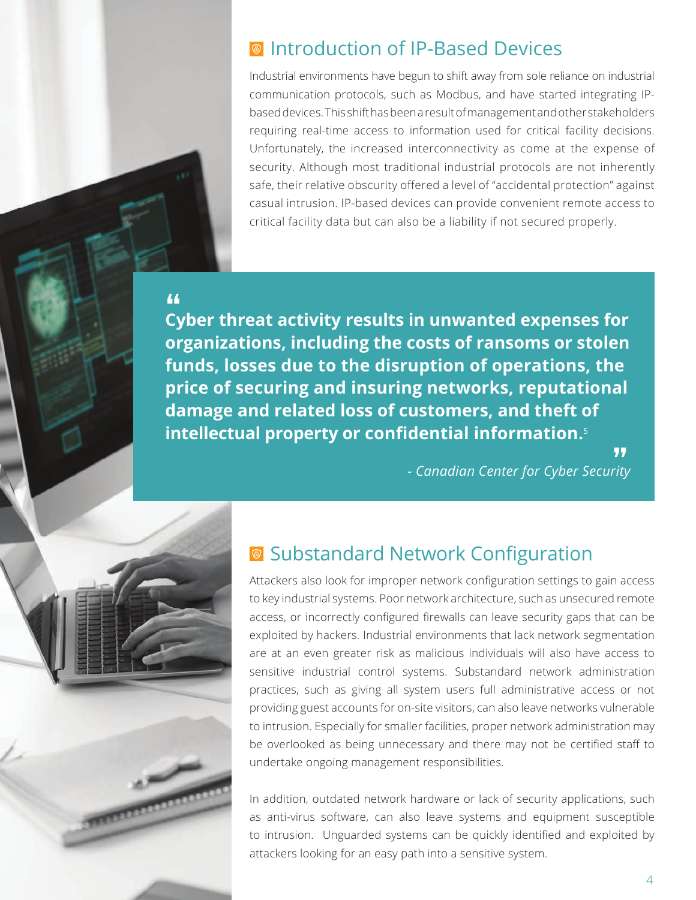#### **Introduction of IP-Based Devices**

Industrial environments have begun to shift away from sole reliance on industrial communication protocols, such as Modbus, and have started integrating IPbased devices. This shift has been a result of management and other stakeholders requiring real-time access to information used for critical facility decisions. Unfortunately, the increased interconnectivity as come at the expense of security. Although most traditional industrial protocols are not inherently safe, their relative obscurity offered a level of "accidental protection" against casual intrusion. IP-based devices can provide convenient remote access to critical facility data but can also be a liability if not secured properly.

#### 44

**Cyber threat activity results in unwanted expenses for organizations, including the costs of ransoms or stolen funds, losses due to the disruption of operations, the price of securing and insuring networks, reputational damage and related loss of customers, and theft of intellectual property or confidential information.**<sup>5</sup>

*- Canadian Center for Cyber Security*

77



#### **• Substandard Network Configuration**

Attackers also look for improper network configuration settings to gain access to key industrial systems. Poor network architecture, such as unsecured remote access, or incorrectly configured firewalls can leave security gaps that can be exploited by hackers. Industrial environments that lack network segmentation are at an even greater risk as malicious individuals will also have access to sensitive industrial control systems. Substandard network administration practices, such as giving all system users full administrative access or not providing guest accounts for on-site visitors, can also leave networks vulnerable to intrusion. Especially for smaller facilities, proper network administration may be overlooked as being unnecessary and there may not be certified staff to undertake ongoing management responsibilities.

In addition, outdated network hardware or lack of security applications, such as anti-virus software, can also leave systems and equipment susceptible to intrusion. Unguarded systems can be quickly identified and exploited by attackers looking for an easy path into a sensitive system.